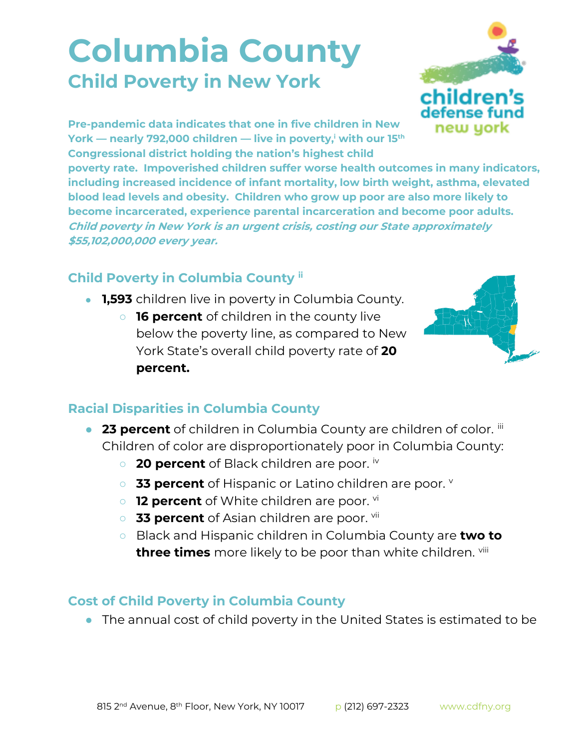## **Columbia County Child Poverty in New York**



**Pre-pandemic data indicates that one in five children in New York — nearly 792,000 children — live in poverty,<sup>i</sup> with our 15th Congressional district holding the nation's highest child** 

**poverty rate. Impoverished children suffer worse health outcomes in many indicators, including increased incidence of infant mortality, low birth weight, asthma, elevated blood lead levels and obesity. Children who grow up poor are also more likely to become incarcerated, experience parental incarceration and become poor adults. Child poverty in New York is an urgent crisis, costing our State approximately \$55,102,000,000 every year.**

## **Child Poverty in Columbia County ii**

- **1,593** children live in poverty in Columbia County.
	- **16 percent** of children in the county live below the poverty line, as compared to New York State's overall child poverty rate of **20 percent.**



## **Racial Disparities in Columbia County**

- **23 percent** of children in Columbia County are children of color. iii Children of color are disproportionately poor in Columbia County:
	- **20 percent** of Black children are poor. iv
	- **33 percent** of Hispanic or Latino children are poor. **v**
	- o **12 percent** of White children are poor. vi
	- **33 percent** of Asian children are poor. vii
	- Black and Hispanic children in Columbia County are **two to three times** more likely to be poor than white children. viii

## **Cost of Child Poverty in Columbia County**

● The annual cost of child poverty in the United States is estimated to be